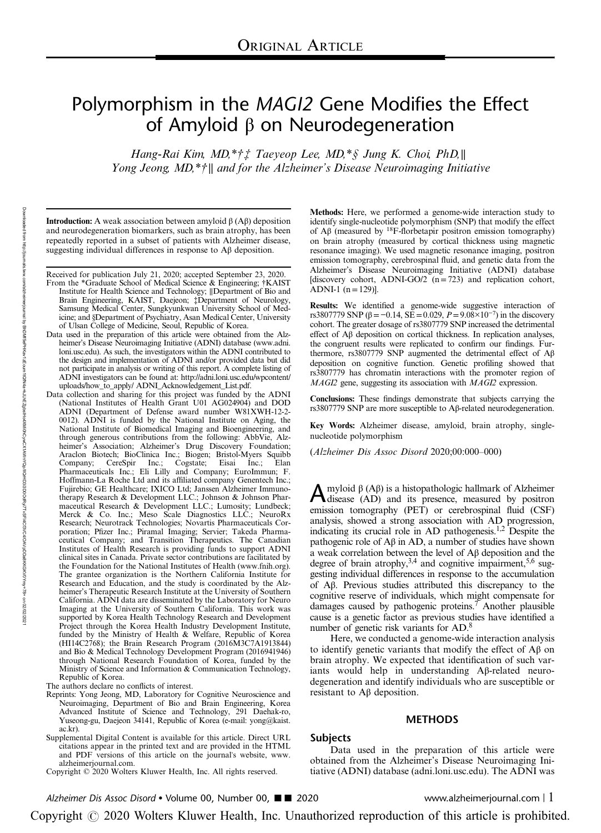# Polymorphism in the MAGI2 Gene Modifies the Effect of Amyloid β on Neurodegeneration

Hang-Rai Kim, MD,\*†‡ Taeyeop Lee, MD,\*§ Jung K. Choi, PhD,∥ Yong Jeong, MD,\*†∥ and for the Alzheimer's Disease Neuroimaging Initiative

**Introduction:** A weak association between amyloid  $β(Αβ)$  deposition and neurodegeneration biomarkers, such as brain atrophy, has been repeatedly reported in a subset of patients with Alzheimer disease, suggesting individual differences in response to Aβ deposition.

- Received for publication July 21, 2020; accepted September 23, 2020. From the \*Graduate School of Medical Science & Engineering; †KAIST Institute for Health Science and Technology; ∥Department of Bio and Brain Engineering, KAIST, Daejeon; ‡Department of Neurology, Samsung Medical Center, Sungkyunkwan University School of Medicine; and §Department of Psychiatry, Asan Medical Center, University of Ulsan College of Medicine, Seoul, Republic of Korea.
- Data used in the preparation of this article were obtained from the Alzheimer's Disease Neuroimaging Initiative (ADNI) database (www.adni. loni.usc.edu). As such, the investigators within the ADNI contributed to the design and implementation of ADNI and/or provided data but did not participate in analysis or writing of this report. A complete listing of ADNI investigators can be found at: [http://adni.loni.usc.edu/wpcontent/](http://adni.loni.usc.edu/wpcontent/uploads/how_to_apply/ ADNI_Acknowledgement_List.pdf) [uploads/how\\_to\\_apply/ ADNI\\_Acknowledgement\\_List.pdf.](http://adni.loni.usc.edu/wpcontent/uploads/how_to_apply/ ADNI_Acknowledgement_List.pdf)
- Data collection and sharing for this project was funded by the ADNI (National Institutes of Health Grant U01 AG024904) and DOD ADNI (Department of Defense award number W81XWH-12-2- 0012). ADNI is funded by the National Institute on Aging, the National Institute of Biomedical Imaging and Bioengineering, and through generous contributions from the following: AbbVie, Alzheimer's Association; Alzheimer's Drug Discovery Foundation; Araclon Biotech; BioClinica Inc.; Biogen; Bristol-Myers Squibb Company; CereSpir Inc.; Cogstate; Eisai Inc.; Elan Pharmaceuticals Inc.; Eli Lilly and Company; EuroImmun; F. Hoffmann-La Roche Ltd and its affiliated company Genentech Inc.; Fujirebio; GE Healthcare; IXICO Ltd; Janssen Alzheimer Immunotherapy Research & Development LLC.; Johnson & Johnson Pharmaceutical Research & Development LLC.; Lumosity; Lundbeck; Merck & Co. Inc.; Meso Scale Diagnostics LLC.; NeuroRx Research; Neurotrack Technologies; Novartis Pharmaceuticals Corporation; Pfizer Inc.; Piramal Imaging; Servier; Takeda Pharmaceutical Company; and Transition Therapeutics. The Canadian Institutes of Health Research is providing funds to support ADNI clinical sites in Canada. Private sector contributions are facilitated by the Foundation for the National Institutes of Health (www.fnih.org). The grantee organization is the Northern California Institute for Research and Education, and the study is coordinated by the Alzheimer's Therapeutic Research Institute at the University of Southern California. ADNI data are disseminated by the Laboratory for Neuro Imaging at the University of Southern California. This work was supported by Korea Health Technology Research and Development Project through the Korea Health Industry Development Institute, funded by the Ministry of Health & Welfare, Republic of Korea (HI14C2768); the Brain Research Program (2016M3C7A1913844) and Bio & Medical Technology Development Program (2016941946) through National Research Foundation of Korea, funded by the Ministry of Science and Information & Communication Technology, Republic of Korea.

The authors declare no conflicts of interest.

- Reprints: Yong Jeong, MD, Laboratory for Cognitive Neuroscience and Neuroimaging, Department of Bio and Brain Engineering, Korea Advanced Institute of Science and Technology, 291 Daehak-ro, Yuseong-gu, Daejeon 34141, Republic of Korea (e-mail: [yong@kaist.](mailto:yong@kaist.ac.kr) [ac.kr\)](mailto:yong@kaist.ac.kr).
- Supplemental Digital Content is available for this article. Direct URL citations appear in the printed text and are provided in the HTML and PDF versions of this article on the journal's website, [www.](http://www.alzheimerjournal.com) [alzheimerjournal.com.](http://www.alzheimerjournal.com)

Copyright © 2020 Wolters Kluwer Health, Inc. All rights reserved.

Methods: Here, we performed a genome-wide interaction study to identify single-nucleotide polymorphism (SNP) that modify the effect of Aβ (measured by 18F-florbetapir positron emission tomography) on brain atrophy (measured by cortical thickness using magnetic resonance imaging). We used magnetic resonance imaging, positron emission tomography, cerebrospinal fluid, and genetic data from the Alzheimer's Disease Neuroimaging Initiative (ADNI) database [discovery cohort, ADNI-GO/2  $(n=723)$  and replication cohort,  $ADNI-1$   $(n=129)$ ].

Results: We identified a genome-wide suggestive interaction of rs3807779 SNP (β = -0.14, SE = 0.029,  $P = 9.08 \times 10^{-7}$ ) in the discovery cohort. The greater dosage of rs3807779 SNP increased the detrimental effect of Aβ deposition on cortical thickness. In replication analyses, the congruent results were replicated to confirm our findings. Furthermore, rs3807779 SNP augmented the detrimental effect of Aβ deposition on cognitive function. Genetic profiling showed that rs3807779 has chromatin interactions with the promoter region of MAGI2 gene, suggesting its association with MAGI2 expression.

Conclusions: These findings demonstrate that subjects carrying the rs3807779 SNP are more susceptible to Aβ-related neurodegeneration.

Key Words: Alzheimer disease, amyloid, brain atrophy, singlenucleotide polymorphism

(Alzheimer Dis Assoc Disord 2020;00:000–000)

 $\mathbf{A}$  myloid  $\beta$  (A $\beta$ ) is a histopathologic hallmark of Alzheimer<br>disease (AD) and its presence, measured by positron<br>mission to presence (DET) an applemental fluid (CET) emission tomography (PET) or cerebrospinal fluid (CSF) analysis, showed a strong association with AD progression, indicating its crucial role in AD pathogenesis.1,2 Despite the pathogenic role of Aβ in AD, a number of studies have shown a weak correlation between the level of Aβ deposition and the degree of brain atrophy, $3,4$  and cognitive impairment, $5,6$  suggesting individual differences in response to the accumulation of Aβ. Previous studies attributed this discrepancy to the cognitive reserve of individuals, which might compensate for damages caused by pathogenic proteins.<sup>7</sup> Another plausible cause is a genetic factor as previous studies have identified a number of genetic risk variants for AD.<sup>8</sup>

Here, we conducted a genome-wide interaction analysis to identify genetic variants that modify the effect of Aβ on brain atrophy. We expected that identification of such variants would help in understanding Aβ-related neurodegeneration and identify individuals who are susceptible or resistant to Aβ deposition.

# **METHODS**

## Subjects

Data used in the preparation of this article were obtained from the Alzheimer's Disease Neuroimaging Initiative (ADNI) database (adni.loni.usc.edu). The ADNI was

Alzheimer Dis Assoc Disord • Volume 00, Number 00,  $\blacksquare$  2020 www.alzheimerjournal.com | 1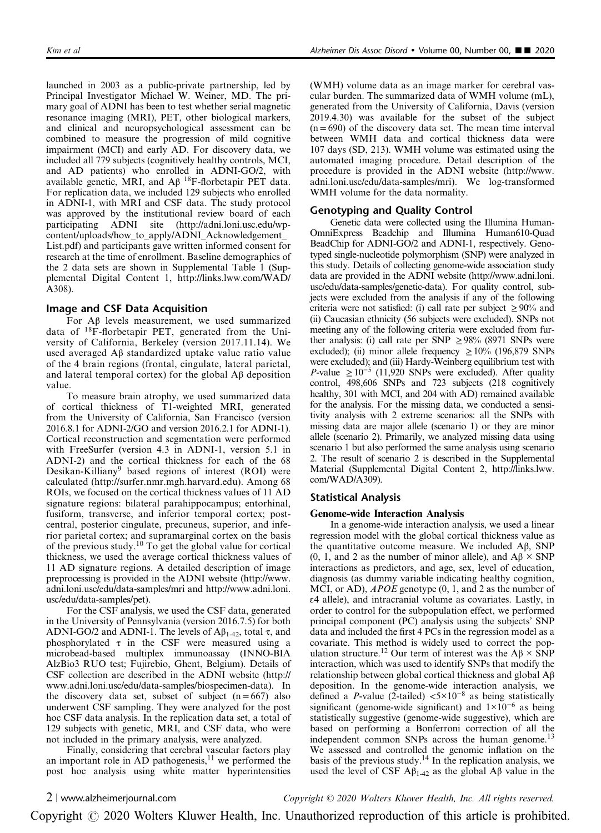launched in 2003 as a public-private partnership, led by Principal Investigator Michael W. Weiner, MD. The primary goal of ADNI has been to test whether serial magnetic resonance imaging (MRI), PET, other biological markers, and clinical and neuropsychological assessment can be combined to measure the progression of mild cognitive impairment (MCI) and early AD. For discovery data, we included all 779 subjects (cognitively healthy controls, MCI, and AD patients) who enrolled in ADNI-GO/2, with available genetic, MRI, and  $A\beta$ <sup>18</sup>F-florbetapir PET data. For replication data, we included 129 subjects who enrolled in ADNI-1, with MRI and CSF data. The study protocol was approved by the institutional review board of each participating ADNI site [\(http://adni.loni.usc.edu/wp](http://adni.loni.usc.edu/wp-content/uploads/how_to_apply/ADNI_Acknowledgement_List.pdf)[content/uploads/how\\_to\\_apply/ADNI\\_Acknowledgement\\_](http://adni.loni.usc.edu/wp-content/uploads/how_to_apply/ADNI_Acknowledgement_List.pdf) [List.pdf\)](http://adni.loni.usc.edu/wp-content/uploads/how_to_apply/ADNI_Acknowledgement_List.pdf) and participants gave written informed consent for research at the time of enrollment. Baseline demographics of the 2 data sets are shown in Supplemental Table 1 (Supplemental Digital Content 1, [http://links.lww.com/WAD/](http://links.lww.com/WAD/A308) [A308](http://links.lww.com/WAD/A308)).

## Image and CSF Data Acquisition

For Aβ levels measurement, we used summarized data of <sup>18</sup>F-florbetapir PET, generated from the University of California, Berkeley (version 2017.11.14). We used averaged Aβ standardized uptake value ratio value of the 4 brain regions (frontal, cingulate, lateral parietal, and lateral temporal cortex) for the global Aβ deposition value.

To measure brain atrophy, we used summarized data of cortical thickness of T1-weighted MRI, generated from the University of California, San Francisco (version 2016.8.1 for ADNI-2/GO and version 2016.2.1 for ADNI-1). Cortical reconstruction and segmentation were performed with FreeSurfer (version 4.3 in ADNI-1, version 5.1 in ADNI-2) and the cortical thickness for each of the 68 Desikan-Killiany<sup>9</sup> based regions of interest (ROI) were calculated ([http://surfer.nmr.mgh.harvard.edu\)](http://surfer.nmr.mgh.harvard.edu). Among 68 ROIs, we focused on the cortical thickness values of 11 AD signature regions: bilateral parahippocampus; entorhinal, fusiform, transverse, and inferior temporal cortex; postcentral, posterior cingulate, precuneus, superior, and inferior parietal cortex; and supramarginal cortex on the basis of the previous study.<sup>10</sup> To get the global value for cortical thickness, we used the average cortical thickness values of 11 AD signature regions. A detailed description of image preprocessing is provided in the ADNI website [\(http://www.](http://www.adni.loni.usc/edu/data-samples/mri) [adni.loni.usc/edu/data-samples/mri](http://www.adni.loni.usc/edu/data-samples/mri) and [http://www.adni.loni.](http://www.adni.loni.usc/edu/data-samples/pet) [usc/edu/data-samples/pet\)](http://www.adni.loni.usc/edu/data-samples/pet).

For the CSF analysis, we used the CSF data, generated in the University of Pennsylvania (version 2016.7.5) for both ADNI-GO/2 and ADNI-1. The levels of  $A\beta_{1-42}$ , total  $\tau$ , and phosphorylated  $\tau$  in the CSF were measured using a microbead-based multiplex immunoassay (INNO-BIA AlzBio3 RUO test; Fujirebio, Ghent, Belgium). Details of CSF collection are described in the ADNI website [\(http://](http://www.adni.loni.usc/edu/data-samples/biospecimen-data) [www.adni.loni.usc/edu/data-samples/biospecimen-data\)](http://www.adni.loni.usc/edu/data-samples/biospecimen-data). In the discovery data set, subset of subject  $(n= 667)$  also underwent CSF sampling. They were analyzed for the post hoc CSF data analysis. In the replication data set, a total of 129 subjects with genetic, MRI, and CSF data, who were not included in the primary analysis, were analyzed.

Finally, considering that cerebral vascular factors play an important role in  $AD$  pathogenesis,<sup>11</sup> we performed the post hoc analysis using white matter hyperintensities (WMH) volume data as an image marker for cerebral vascular burden. The summarized data of WMH volume (mL), generated from the University of California, Davis (version 2019.4.30) was available for the subset of the subject  $(n = 690)$  of the discovery data set. The mean time interval between WMH data and cortical thickness data were 107 days (SD, 213). WMH volume was estimated using the automated imaging procedure. Detail description of the procedure is provided in the ADNI website ([http://www.](http://www.adni.loni.usc/edu/data-samples/mri) [adni.loni.usc/edu/data-samples/mri\)](http://www.adni.loni.usc/edu/data-samples/mri). We log-transformed WMH volume for the data normality.

## Genotyping and Quality Control

Genetic data were collected using the Illumina Human-OmniExpress Beadchip and Illumina Human610-Quad BeadChip for ADNI-GO/2 and ADNI-1, respectively. Genotyped single-nucleotide polymorphism (SNP) were analyzed in this study. Details of collecting genome-wide association study data are provided in the ADNI website [\(http://www.adni.loni.](http://www.adni.loni.usc/edu/data-samples/genetic-data) [usc/edu/data-samples/genetic-data\)](http://www.adni.loni.usc/edu/data-samples/genetic-data). For quality control, subjects were excluded from the analysis if any of the following criteria were not satisfied: (i) call rate per subject  $\geq 90\%$  and (ii) Caucasian ethnicity (56 subjects were excluded). SNPs not meeting any of the following criteria were excluded from further analysis: (i) call rate per SNP  $\geq$ 98% (8971 SNPs were excluded); (ii) minor allele frequency  $\geq 10\%$  (196,879 SNPs were excluded); and (iii) Hardy-Weinberg equilibrium test with P-value  $\geq 10^{-5}$  (11,920 SNPs were excluded). After quality control, 498,606 SNPs and 723 subjects (218 cognitively healthy, 301 with MCI, and 204 with AD) remained available for the analysis. For the missing data, we conducted a sensitivity analysis with 2 extreme scenarios: all the SNPs with missing data are major allele (scenario 1) or they are minor allele (scenario 2). Primarily, we analyzed missing data using scenario 1 but also performed the same analysis using scenario 2. The result of scenario 2 is described in the Supplemental Material (Supplemental Digital Content 2, [http://links.lww.](http://links.lww.com/WAD/A309) [com/WAD/A309](http://links.lww.com/WAD/A309)).

## Statistical Analysis

## Genome-wide Interaction Analysis

In a genome-wide interaction analysis, we used a linear regression model with the global cortical thickness value as the quantitative outcome measure. We included Aβ, SNP (0, 1, and 2 as the number of minor allele), and  $A\beta \times SNP$ interactions as predictors, and age, sex, level of education, diagnosis (as dummy variable indicating healthy cognition, MCI, or AD), *APOE* genotype  $(0, 1,$  and 2 as the number of ɛ4 allele), and intracranial volume as covariates. Lastly, in order to control for the subpopulation effect, we performed principal component (PC) analysis using the subjects' SNP data and included the first 4 PCs in the regression model as a covariate. This method is widely used to correct the population structure.<sup>12</sup> Our term of interest was the Aβ  $\times$  SNP interaction, which was used to identify SNPs that modify the relationship between global cortical thickness and global Aβ deposition. In the genome-wide interaction analysis, we defined a P-value (2-tailed)  $\langle 5 \times 10^{-8}$  as being statistically significant (genome-wide significant) and 1×10−<sup>6</sup> as being statistically suggestive (genome-wide suggestive), which are based on performing a Bonferroni correction of all the independent common SNPs across the human genome.<sup>13</sup> We assessed and controlled the genomic inflation on the basis of the previous study.<sup>14</sup> In the replication analysis, we used the level of CSF  $A\beta_{1-42}$  as the global  $A\beta$  value in the

2 | www.alzheimerjournal.com Copyright © 2020 Wolters Kluwer Health, Inc. All rights reserved.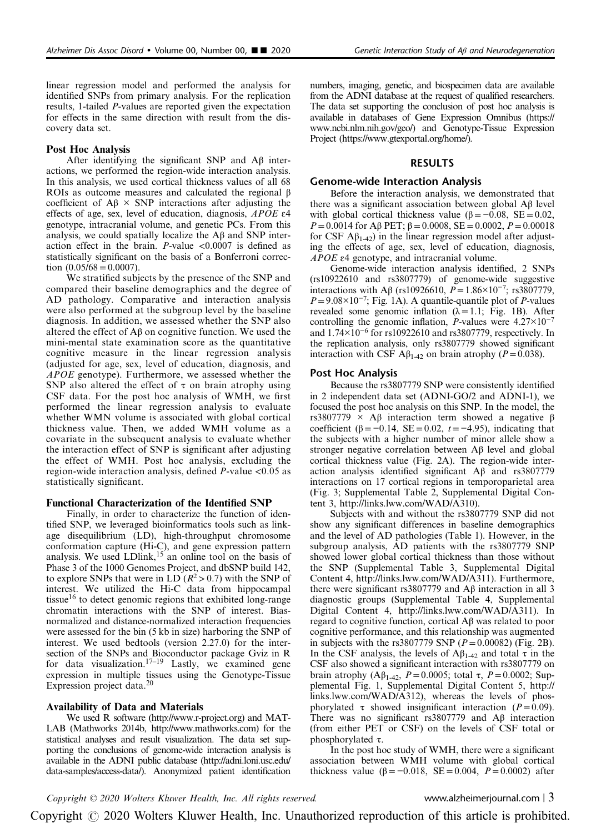linear regression model and performed the analysis for identified SNPs from primary analysis. For the replication results, 1-tailed P-values are reported given the expectation for effects in the same direction with result from the discovery data set.

#### Post Hoc Analysis

After identifying the significant SNP and  $\mathbf{A}\beta$  interactions, we performed the region-wide interaction analysis. In this analysis, we used cortical thickness values of all 68 ROIs as outcome measures and calculated the regional  $\beta$ coefficient of  $A\beta \times SNP$  interactions after adjusting the effects of age, sex, level of education, diagnosis,  $APOE \varepsilon 4$ genotype, intracranial volume, and genetic PCs. From this analysis, we could spatially localize the  $\mathbf{A}\beta$  and SNP interaction effect in the brain.  $P$ -value <0.0007 is defined as statistically significant on the basis of a Bonferroni correction  $(0.05/68 = 0.0007)$ .

We stratified subjects by the presence of the SNP and compared their baseline demographics and the degree of AD pathology. Comparative and interaction analysis were also performed at the subgroup level by the baseline diagnosis. In addition, we assessed whether the SNP also altered the effect of  $A\beta$  on cognitive function. We used the mini-mental state examination score as the quantitative cognitive measure in the linear regression analysis (adjusted for age, sex, level of education, diagnosis, and APOE genotype). Furthermore, we assessed whether the SNP also altered the effect of  $\tau$  on brain atrophy using CSF data. For the post hoc analysis of WMH, we first performed the linear regression analysis to evaluate whether WMN volume is associated with global cortical thickness value. Then, we added WMH volume as a covariate in the subsequent analysis to evaluate whether the interaction effect of SNP is significant after adjusting the effect of WMH. Post hoc analysis, excluding the region-wide interaction analysis, defined P-value <0.05 as statistically significant.

## Functional Characterization of the Identified SNP

Finally, in order to characterize the function of identified SNP, we leveraged bioinformatics tools such as linkage disequilibrium (LD), high-throughput chromosome conformation capture (Hi-C), and gene expression pattern analysis. We used LDlink,<sup>15</sup> an online tool on the basis of Phase 3 of the 1000 Genomes Project, and dbSNP build 142, to explore SNPs that were in LD  $(R^2 > 0.7)$  with the SNP of interest. We utilized the Hi-C data from hippocampal tissue<sup>16</sup> to detect genomic regions that exhibited long-range chromatin interactions with the SNP of interest. Biasnormalized and distance-normalized interaction frequencies were assessed for the bin (5 kb in size) harboring the SNP of interest. We used bedtools (version 2.27.0) for the intersection of the SNPs and Bioconductor package Gviz in R for data visualization.<sup>17–19</sup> Lastly, we examined gene expression in multiple tissues using the Genotype-Tissue Expression project data.<sup>20</sup>

#### Availability of Data and Materials

We used R software (<http://www.r-project.org>) and MAT-LAB (Mathworks 2014b, [http://www.mathworks.com\)](http://www.mathworks.com) for the statistical analyses and result visualization. The data set supporting the conclusions of genome-wide interaction analysis is available in the ADNI public database [\(http://adni.loni.usc.edu/](http://adni.loni.usc.edu/data-samples/access-data/) [data-samples/access-data/](http://adni.loni.usc.edu/data-samples/access-data/)). Anonymized patient identification

numbers, imaging, genetic, and biospecimen data are available from the ADNI database at the request of qualified researchers. The data set supporting the conclusion of post hoc analysis is available in databases of Gene Expression Omnibus [\(https://](https://www.ncbi.nlm.nih.gov/geo/) [www.ncbi.nlm.nih.gov/geo/](https://www.ncbi.nlm.nih.gov/geo/)) and Genotype-Tissue Expression Project [\(https://www.gtexportal.org/home/](https://www.gtexportal.org/home/)).

## RESULTS

#### Genome-wide Interaction Analysis

Before the interaction analysis, we demonstrated that there was a significant association between global Aβ level with global cortical thickness value ( $\beta = -0.08$ , SE = 0.02,  $P=0.0014$  for A $\beta$  PET;  $\beta = 0.0008$ , SE = 0.0002,  $P= 0.00018$ for CSF  $A\beta_{1-42}$ ) in the linear regression model after adjusting the effects of age, sex, level of education, diagnosis, APOE  $\varepsilon$ 4 genotype, and intracranial volume.

Genome-wide interaction analysis identified, 2 SNPs (rs10922610 and rs3807779) of genome-wide suggestive interactions with Aβ (rs10926610,  $P = 1.86 \times 10^{-7}$ ; rs3807779,  $P=9.08\times10^{-7}$ ; Fig. 1A). A quantile-quantile plot of P-values revealed some genomic inflation  $(\lambda = 1.1;$  Fig. 1B). After controlling the genomic inflation, P-values were  $4.27 \times 10^{-7}$ and 1.74×10−<sup>6</sup> for rs10922610 and rs3807779, respectively. In the replication analysis, only rs3807779 showed significant interaction with CSF A $\beta_{1-42}$  on brain atrophy (P=0.038).

#### Post Hoc Analysis

Because the rs3807779 SNP were consistently identified in 2 independent data set (ADNI-GO/2 and ADNI-1), we focused the post hoc analysis on this SNP. In the model, the rs3807779 × Aβ interaction term showed a negative β coefficient ( $\beta$  = −0.14, SE = 0.02, t = −4.95), indicating that the subjects with a higher number of minor allele show a stronger negative correlation between Aβ level and global cortical thickness value (Fig. 2A). The region-wide interaction analysis identified significant Aβ and rs3807779 interactions on 17 cortical regions in temporoparietal area (Fig. 3; Supplemental Table 2, Supplemental Digital Content 3, [http://links.lww.com/WAD/A310\)](http://links.lww.com/WAD/A310).

Subjects with and without the rs3807779 SNP did not show any significant differences in baseline demographics and the level of AD pathologies (Table 1). However, in the subgroup analysis, AD patients with the rs3807779 SNP showed lower global cortical thickness than those without the SNP (Supplemental Table 3, Supplemental Digital Content 4, [http://links.lww.com/WAD/A311\)](http://links.lww.com/WAD/A311). Furthermore, there were significant rs3807779 and  $\text{A}$ β interaction in all 3 diagnostic groups (Supplemental Table 4, Supplemental Digital Content 4, [http://links.lww.com/WAD/A311\)](http://links.lww.com/WAD/A311). In regard to cognitive function, cortical Aβ was related to poor cognitive performance, and this relationship was augmented in subjects with the rs3807779 SNP ( $P = 0.00082$ ) (Fig. 2B). In the CSF analysis, the levels of  $A\beta_{1-42}$  and total  $\tau$  in the CSF also showed a significant interaction with rs3807779 on brain atrophy (Aβ<sub>1-42</sub>, P = 0.0005; total τ, P = 0.0002; Supplemental Fig. 1, Supplemental Digital Content 5, [http://](http://links.lww.com/WAD/A312) [links.lww.com/WAD/A312\)](http://links.lww.com/WAD/A312), whereas the levels of phosphorylated  $\tau$  showed insignificant interaction ( $P=0.09$ ). There was no significant rs3807779 and Aβ interaction (from either PET or CSF) on the levels of CSF total or phosphorylated  $τ$ .

In the post hoc study of WMH, there were a significant association between WMH volume with global cortical thickness value (β = -0.018, SE = 0.004,  $P = 0.0002$ ) after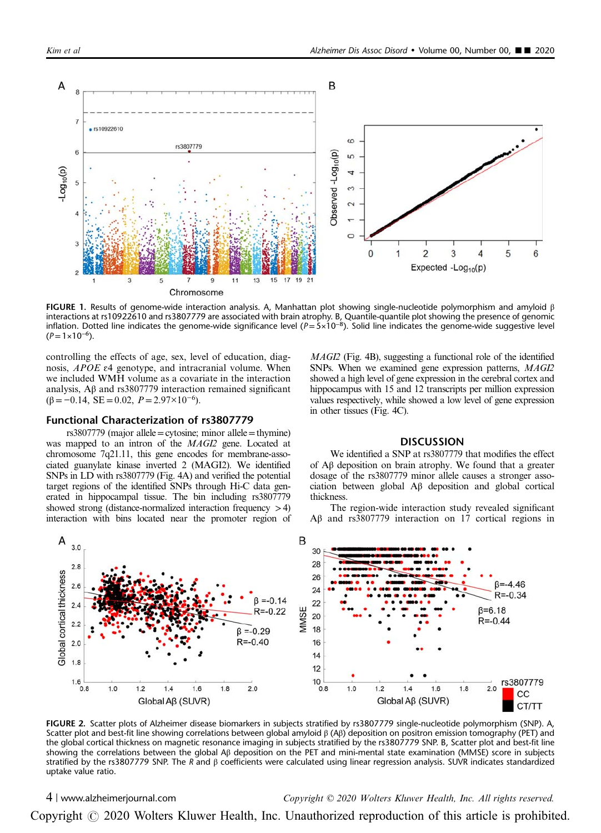

FIGURE 1. Results of genome-wide interaction analysis. A, Manhattan plot showing single-nucleotide polymorphism and amyloid β interactions at rs10922610 and rs3807779 are associated with brain atrophy. B, Quantile-quantile plot showing the presence of genomic<br>inflation. Dotted line indicates the genome-wide significance level (P= 5×10<sup>–8</sup>). Solid  $(P=1\times10^{-6}).$ 

controlling the effects of age, sex, level of education, diagnosis, *APOE* ε4 genotype, and intracranial volume. When we included WMH volume as a covariate in the interaction analysis, Aβ and rs3807779 interaction remained significant  $(\beta = -0.14, \text{ SE} = 0.02, P = 2.97 \times 10^{-6}).$ 

## Functional Characterization of rs3807779

 $rs3807779$  (major allele = cytosine; minor allele = thymine) was mapped to an intron of the MAGI2 gene. Located at chromosome 7q21.11, this gene encodes for membrane-associated guanylate kinase inverted 2 (MAGI2). We identified SNPs in LD with rs3807779 (Fig. 4A) and verified the potential target regions of the identified SNPs through Hi-C data generated in hippocampal tissue. The bin including rs3807779 showed strong (distance-normalized interaction frequency  $>4$ ) interaction with bins located near the promoter region of MAGI2 (Fig. 4B), suggesting a functional role of the identified SNPs. When we examined gene expression patterns, MAGI2 showed a high level of gene expression in the cerebral cortex and hippocampus with 15 and 12 transcripts per million expression values respectively, while showed a low level of gene expression in other tissues (Fig. 4C).

### **DISCUSSION**

We identified a SNP at rs3807779 that modifies the effect of Aβ deposition on brain atrophy. We found that a greater dosage of the rs3807779 minor allele causes a stronger association between global Aβ deposition and global cortical thickness.

The region-wide interaction study revealed significant Aβ and rs3807779 interaction on 17 cortical regions in



FIGURE 2. Scatter plots of Alzheimer disease biomarkers in subjects stratified by rs3807779 single-nucleotide polymorphism (SNP). A, Scatter plot and best-fit line showing correlations between global amyloid β (Aβ) deposition on positron emission tomography (PET) and the global cortical thickness on magnetic resonance imaging in subjects stratified by the rs3807779 SNP. B, Scatter plot and best-fit line showing the correlations between the global Aβ deposition on the PET and mini-mental state examination (MMSE) score in subjects stratified by the rs3807779 SNP. The R and β coefficients were calculated using linear regression analysis. SUVR indicates standardized uptake value ratio.

 $4$  | www.alzheimerjournal.com  $\hbox{Copyright} \otimes 2020$  Wolters Kluwer Health, Inc. All rights reserved.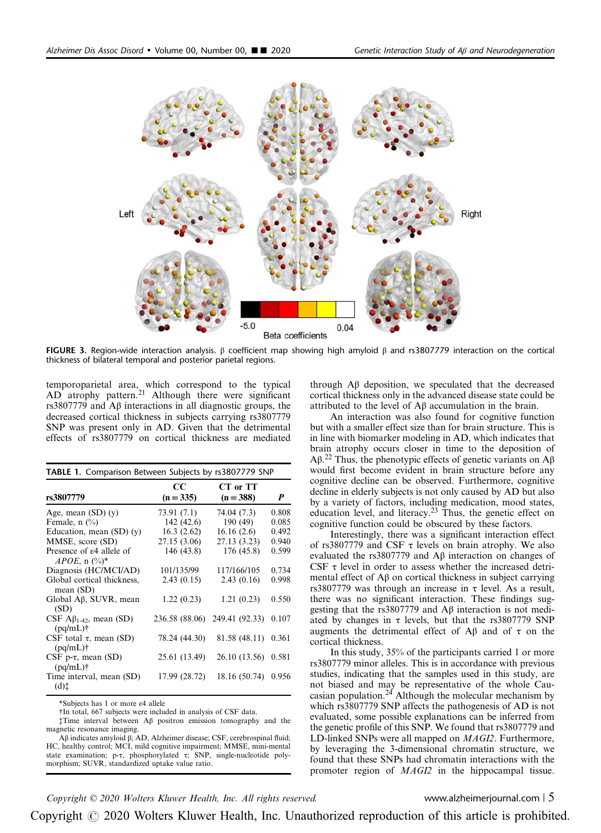

FIGURE 3. Region-wide interaction analysis. β coefficient map showing high amyloid β and rs3807779 interaction on the cortical thickness of bilateral temporal and posterior parietal regions.

temporoparietal area, which correspond to the typical<br>AD atrophy pattern.<sup>21</sup> Although there were significant rs3807779 and Aβ interactions in all diagnostic groups, the decreased cortical thickness in subjects carrying rs3807779 SNP was present only in AD. Given that the detrimental effects of rs3807779 on cortical thickness are mediated

| <b>TABLE 1.</b> Comparison Between Subjects by rs3807779 SNP      |                   |                               |       |
|-------------------------------------------------------------------|-------------------|-------------------------------|-------|
| rs3807779                                                         | CC<br>$(n = 335)$ | CT or TT<br>$(n = 388)$       | P     |
| Age, mean $(SD)(y)$                                               | 73.91 (7.1)       | 74.04 (7.3)                   | 0.808 |
| Female, $n$ $\left(\frac{9}{0}\right)$                            | 142(42.6)         | 190(49)                       | 0.085 |
| Education, mean $(SD)(y)$                                         | 16.3(2.62)        | 16.16(2.6)                    | 0.492 |
| MMSE, score (SD)                                                  | 27.15(3.06)       | 27.13 (3.23)                  | 0.940 |
| Presence of $\varepsilon$ 4 allele of<br><i>APOE</i> , n $(\%)^*$ | 146 (43.8)        | 176 (45.8)                    | 0.599 |
| Diagnosis (HC/MCI/AD)                                             | 101/135/99        | 117/166/105                   | 0.734 |
| Global cortical thickness,<br>mean $(SD)$                         | 2.43(0.15)        | 2.43(0.16)                    | 0.998 |
| Global Aβ, SUVR, mean<br>(SD)                                     | 1.22(0.23)        | 1.21(0.23)                    | 0.550 |
| CSF $A\beta_{1-42}$ , mean (SD)<br>$(pq/mL)$ †                    |                   | 236.58 (88.06) 249.41 (92.33) | 0.107 |
| CSF total $\tau$ , mean (SD)<br>$(pq/mL)$ †                       | 78.24 (44.30)     | 81.58 (48.11)                 | 0.361 |
| CSF p- $\tau$ , mean (SD)<br>$(pq/mL)$ †                          | 25.61 (13.49)     | 26.10 (13.56)                 | 0.581 |
| Time interval, mean (SD)<br>(d)                                   | 17.99 (28.72)     | 18.16 (50.74)                 | 0.956 |

\*Subjects has 1 or more ε4 allele

†In total, 667 subjects were included in analysis of CSF data.

‡Time interval between Aβ positron emission tomography and the magnetic resonance imaging.

Aβ indicates amyloid β; AD, Alzheimer disease; CSF, cerebrospinal fluid; HC, healthy control; MCI, mild cognitive impairment; MMSE, mini-mental state examination; p-τ, phosphorylated τ; SNP, single-nucleotide polymorphism; SUVR, standardized uptake value ratio.

through Aβ deposition, we speculated that the decreased cortical thickness only in the advanced disease state could be attributed to the level of Aβ accumulation in the brain.

An interaction was also found for cognitive function but with a smaller effect size than for brain structure. This is in line with biomarker modeling in AD, which indicates that brain atrophy occurs closer in time to the deposition of Aβ.<sup>22</sup> Thus, the phenotypic effects of genetic variants on Aβ would first become evident in brain structure before any cognitive decline can be observed. Furthermore, cognitive decline in elderly subjects is not only caused by AD but also by a variety of factors, including medication, mood states, education level, and literacy.<sup>23</sup> Thus, the genetic effect on cognitive function could be obscured by these factors.

Interestingly, there was a significant interaction effect of rs3807779 and CSF  $\tau$  levels on brain atrophy. We also evaluated the rs3807779 and Aβ interaction on changes of CSF  $\tau$  level in order to assess whether the increased detrimental effect of Aβ on cortical thickness in subject carrying rs3807779 was through an increase in  $\tau$  level. As a result, there was no significant interaction. These findings suggesting that the rs3807779 and Aβ interaction is not mediated by changes in  $\tau$  levels, but that the rs3807779 SNP augments the detrimental effect of Aβ and of  $\tau$  on the cortical thickness.

In this study, 35% of the participants carried 1 or more rs3807779 minor alleles. This is in accordance with previous studies, indicating that the samples used in this study, are not biased and may be representative of the whole Caucasian population.<sup>24</sup> Although the molecular mechanism by which rs3807779 SNP affects the pathogenesis of AD is not evaluated, some possible explanations can be inferred from the genetic profile of this SNP. We found that rs3807779 and LD-linked SNPs were all mapped on MAGI2. Furthermore, by leveraging the 3-dimensional chromatin structure, we found that these SNPs had chromatin interactions with the promoter region of MAGI2 in the hippocampal tissue.

Copyright © 2020 Wolters Kluwer Health, Inc. All rights reserved. www.alzheimerjournal.com | 5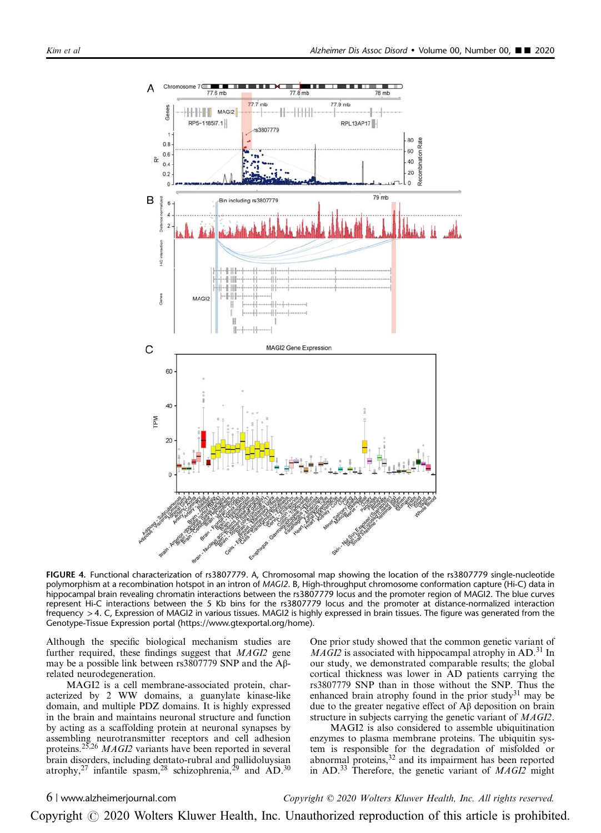

FIGURE 4. Functional characterization of rs3807779. A, Chromosomal map showing the location of the rs3807779 single-nucleotide polymorphism at a recombination hotspot in an intron of MAGI2. B, High-throughput chromosome conformation capture (Hi-C) data in hippocampal brain revealing chromatin interactions between the rs3807779 locus and the promoter region of MAGI2. The blue curves represent Hi-C interactions between the 5 Kb bins for the rs3807779 locus and the promoter at distance-normalized interaction frequency > 4. C, Expression of MAGI2 in various tissues. MAGI2 is highly expressed in brain tissues. The figure was generated from the Genotype-Tissue Expression portal (<https://www.gtexportal.org/home>).

Although the specific biological mechanism studies are further required, these findings suggest that MAGI2 gene may be a possible link between rs3807779 SNP and the Aβrelated neurodegeneration.

MAGI2 is a cell membrane-associated protein, characterized by 2 WW domains, a guanylate kinase-like domain, and multiple PDZ domains. It is highly expressed in the brain and maintains neuronal structure and function by acting as a scaffolding protein at neuronal synapses by assembling neurotransmitter receptors and cell adhesion proteins.25,26 MAGI2 variants have been reported in several brain disorders, including dentato-rubral and pallidoluysian atrophy,<sup>27</sup> infantile spasm,<sup>28</sup> schizophrenia,<sup>29</sup> and AD.<sup>30</sup>

One prior study showed that the common genetic variant of  $MAGI2$  is associated with hippocampal atrophy in AD.<sup>31</sup> In our study, we demonstrated comparable results; the global cortical thickness was lower in AD patients carrying the rs3807779 SNP than in those without the SNP. Thus the enhanced brain atrophy found in the prior study<sup>31</sup> may be due to the greater negative effect of Aβ deposition on brain structure in subjects carrying the genetic variant of  $MAGI2$ .

MAGI2 is also considered to assemble ubiquitination enzymes to plasma membrane proteins. The ubiquitin system is responsible for the degradation of misfolded or abnormal proteins,<sup>32</sup> and its impairment has been reported in AD.<sup>33</sup> Therefore, the genetic variant of  $MAGI2$  might

6 | www.alzheimerjournal.com Copyright © 2020 Wolters Kluwer Health, Inc. All rights reserved.